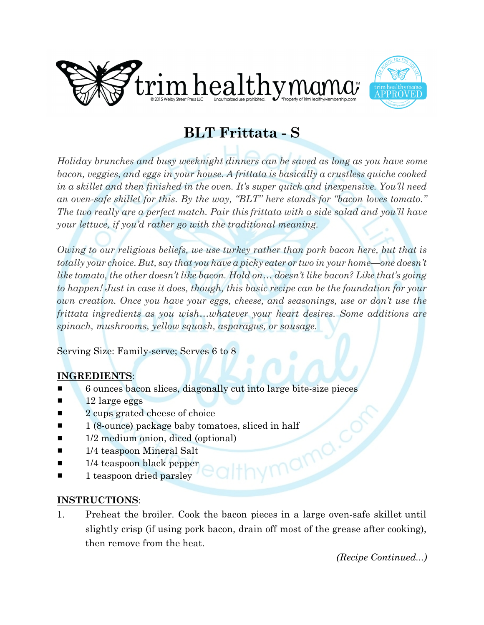



## **BLT Frittata - S**

*Holiday brunches and busy weeknight dinners can be saved as long as you have some bacon, veggies, and eggs in your house. A frittata is basically a crustless quiche cooked in a skillet and then finished in the oven. It's super quick and inexpensive. You'll need an oven-safe skillet for this. By the way, "BLT" here stands for "bacon loves tomato." The two really are a perfect match. Pair this frittata with a side salad and you'll have your lettuce, if you'd rather go with the traditional meaning.*

*Owing to our religious beliefs, we use turkey rather than pork bacon here, but that is totally your choice. But, say that you have a picky eater or two in your home—one doesn't like tomato, the other doesn't like bacon. Hold on… doesn't like bacon? Like that's going to happen! Just in case it does, though, this basic recipe can be the foundation for your own creation. Once you have your eggs, cheese, and seasonings, use or don't use the frittata ingredients as you wish…whatever your heart desires. Some additions are spinach, mushrooms, yellow squash, asparagus, or sausage.*

Serving Size: Family-serve; Serves 6 to 8

## **INGREDIENTS**:

- # 6 ounces bacon slices, diagonally cut into large bite-size pieces
- 12 large eggs
- $\blacksquare$  2 cups grated cheese of choice
- 1 (8-ounce) package baby tomatoes, sliced in half<br>
1/2 medium onion, diced (optional)<br>
1/4 teaspoon Mineral Salt<br>
1/4 teaspoon black pepper<br>
1 teaspoon dried parels
- $\blacksquare$  1/2 medium onion, diced (optional)
- $\blacksquare$  1/4 teaspoon Mineral Salt
- $\blacksquare$  1/4 teaspoon black pepper
- $\blacksquare$  1 teaspoon dried parsley

## **INSTRUCTIONS**:

1. Preheat the broiler. Cook the bacon pieces in a large oven-safe skillet until slightly crisp (if using pork bacon, drain off most of the grease after cooking), then remove from the heat.

*(Recipe Continued...)*